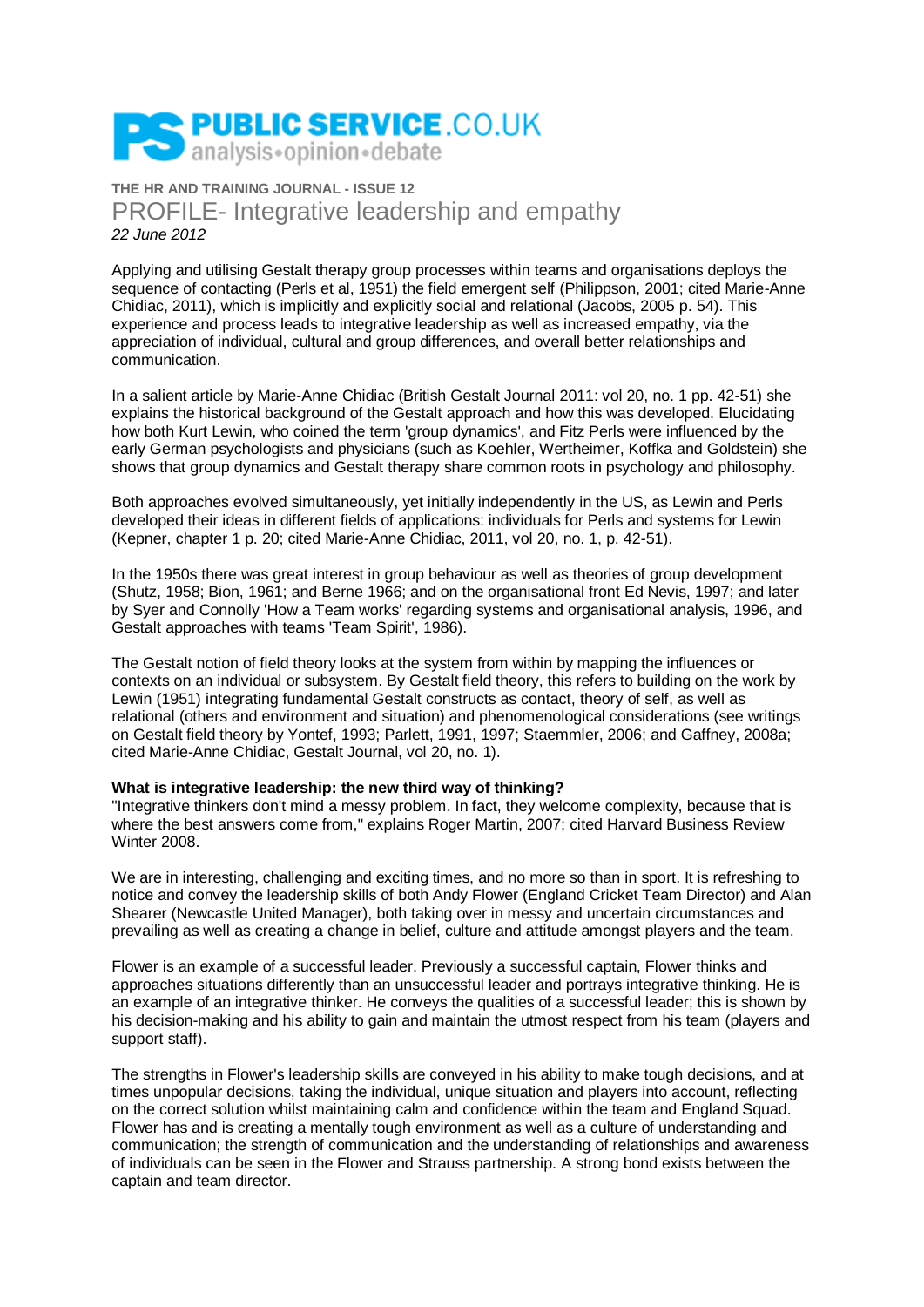

**THE HR AND TRAINING JOURNAL - ISSUE 12** PROFILE- Integrative leadership and empathy *22 June 2012*

Applying and utilising Gestalt therapy group processes within teams and organisations deploys the sequence of contacting (Perls et al, 1951) the field emergent self (Philippson, 2001; cited Marie-Anne Chidiac, 2011), which is implicitly and explicitly social and relational (Jacobs, 2005 p. 54). This experience and process leads to integrative leadership as well as increased empathy, via the appreciation of individual, cultural and group differences, and overall better relationships and communication.

In a salient article by Marie-Anne Chidiac (British Gestalt Journal 2011: vol 20, no. 1 pp. 42-51) she explains the historical background of the Gestalt approach and how this was developed. Elucidating how both Kurt Lewin, who coined the term 'group dynamics', and Fitz Perls were influenced by the early German psychologists and physicians (such as Koehler, Wertheimer, Koffka and Goldstein) she shows that group dynamics and Gestalt therapy share common roots in psychology and philosophy.

Both approaches evolved simultaneously, yet initially independently in the US, as Lewin and Perls developed their ideas in different fields of applications: individuals for Perls and systems for Lewin (Kepner, chapter 1 p. 20; cited Marie-Anne Chidiac, 2011, vol 20, no. 1, p. 42-51).

In the 1950s there was great interest in group behaviour as well as theories of group development (Shutz, 1958; Bion, 1961; and Berne 1966; and on the organisational front Ed Nevis, 1997; and later by Syer and Connolly 'How a Team works' regarding systems and organisational analysis, 1996, and Gestalt approaches with teams 'Team Spirit', 1986).

The Gestalt notion of field theory looks at the system from within by mapping the influences or contexts on an individual or subsystem. By Gestalt field theory, this refers to building on the work by Lewin (1951) integrating fundamental Gestalt constructs as contact, theory of self, as well as relational (others and environment and situation) and phenomenological considerations (see writings on Gestalt field theory by Yontef, 1993; Parlett, 1991, 1997; Staemmler, 2006; and Gaffney, 2008a; cited Marie-Anne Chidiac, Gestalt Journal, vol 20, no. 1).

## **What is integrative leadership: the new third way of thinking?**

"Integrative thinkers don't mind a messy problem. In fact, they welcome complexity, because that is where the best answers come from," explains Roger Martin, 2007; cited Harvard Business Review Winter 2008.

We are in interesting, challenging and exciting times, and no more so than in sport. It is refreshing to notice and convey the leadership skills of both Andy Flower (England Cricket Team Director) and Alan Shearer (Newcastle United Manager), both taking over in messy and uncertain circumstances and prevailing as well as creating a change in belief, culture and attitude amongst players and the team.

Flower is an example of a successful leader. Previously a successful captain, Flower thinks and approaches situations differently than an unsuccessful leader and portrays integrative thinking. He is an example of an integrative thinker. He conveys the qualities of a successful leader; this is shown by his decision-making and his ability to gain and maintain the utmost respect from his team (players and support staff).

The strengths in Flower's leadership skills are conveyed in his ability to make tough decisions, and at times unpopular decisions, taking the individual, unique situation and players into account, reflecting on the correct solution whilst maintaining calm and confidence within the team and England Squad. Flower has and is creating a mentally tough environment as well as a culture of understanding and communication; the strength of communication and the understanding of relationships and awareness of individuals can be seen in the Flower and Strauss partnership. A strong bond exists between the captain and team director.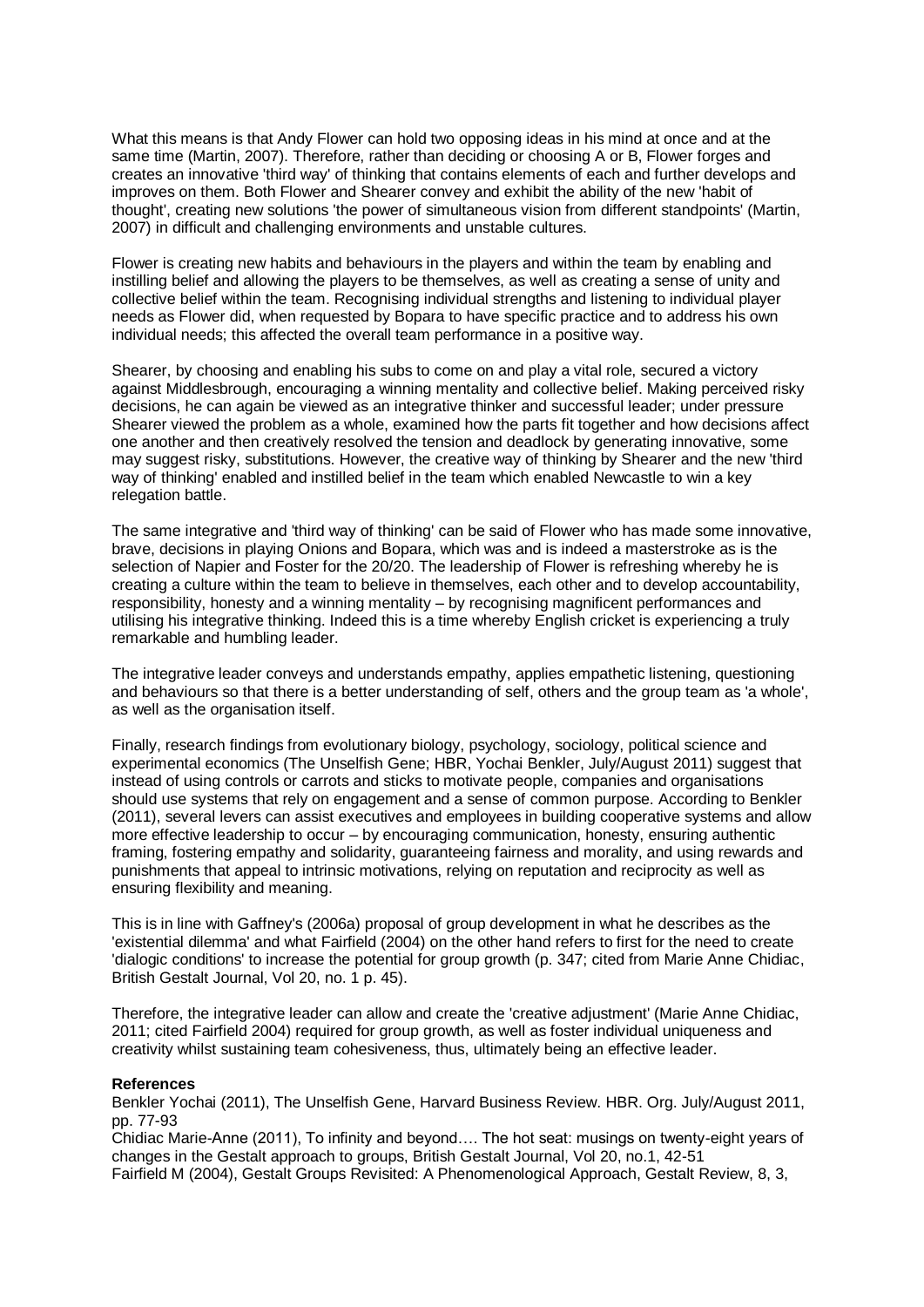What this means is that Andy Flower can hold two opposing ideas in his mind at once and at the same time (Martin, 2007). Therefore, rather than deciding or choosing A or B, Flower forges and creates an innovative 'third way' of thinking that contains elements of each and further develops and improves on them. Both Flower and Shearer convey and exhibit the ability of the new 'habit of thought', creating new solutions 'the power of simultaneous vision from different standpoints' (Martin, 2007) in difficult and challenging environments and unstable cultures.

Flower is creating new habits and behaviours in the players and within the team by enabling and instilling belief and allowing the players to be themselves, as well as creating a sense of unity and collective belief within the team. Recognising individual strengths and listening to individual player needs as Flower did, when requested by Bopara to have specific practice and to address his own individual needs; this affected the overall team performance in a positive way.

Shearer, by choosing and enabling his subs to come on and play a vital role, secured a victory against Middlesbrough, encouraging a winning mentality and collective belief. Making perceived risky decisions, he can again be viewed as an integrative thinker and successful leader; under pressure Shearer viewed the problem as a whole, examined how the parts fit together and how decisions affect one another and then creatively resolved the tension and deadlock by generating innovative, some may suggest risky, substitutions. However, the creative way of thinking by Shearer and the new 'third way of thinking' enabled and instilled belief in the team which enabled Newcastle to win a key relegation battle.

The same integrative and 'third way of thinking' can be said of Flower who has made some innovative, brave, decisions in playing Onions and Bopara, which was and is indeed a masterstroke as is the selection of Napier and Foster for the 20/20. The leadership of Flower is refreshing whereby he is creating a culture within the team to believe in themselves, each other and to develop accountability, responsibility, honesty and a winning mentality – by recognising magnificent performances and utilising his integrative thinking. Indeed this is a time whereby English cricket is experiencing a truly remarkable and humbling leader.

The integrative leader conveys and understands empathy, applies empathetic listening, questioning and behaviours so that there is a better understanding of self, others and the group team as 'a whole', as well as the organisation itself.

Finally, research findings from evolutionary biology, psychology, sociology, political science and experimental economics (The Unselfish Gene; HBR, Yochai Benkler, July/August 2011) suggest that instead of using controls or carrots and sticks to motivate people, companies and organisations should use systems that rely on engagement and a sense of common purpose. According to Benkler (2011), several levers can assist executives and employees in building cooperative systems and allow more effective leadership to occur – by encouraging communication, honesty, ensuring authentic framing, fostering empathy and solidarity, guaranteeing fairness and morality, and using rewards and punishments that appeal to intrinsic motivations, relying on reputation and reciprocity as well as ensuring flexibility and meaning.

This is in line with Gaffney's (2006a) proposal of group development in what he describes as the 'existential dilemma' and what Fairfield (2004) on the other hand refers to first for the need to create 'dialogic conditions' to increase the potential for group growth (p. 347; cited from Marie Anne Chidiac, British Gestalt Journal, Vol 20, no. 1 p. 45).

Therefore, the integrative leader can allow and create the 'creative adjustment' (Marie Anne Chidiac, 2011; cited Fairfield 2004) required for group growth, as well as foster individual uniqueness and creativity whilst sustaining team cohesiveness, thus, ultimately being an effective leader.

## **References**

Benkler Yochai (2011), The Unselfish Gene, Harvard Business Review. HBR. Org. July/August 2011, pp. 77-93

Chidiac Marie-Anne (2011), To infinity and beyond…. The hot seat: musings on twenty-eight years of changes in the Gestalt approach to groups, British Gestalt Journal, Vol 20, no.1, 42-51 Fairfield M (2004), Gestalt Groups Revisited: A Phenomenological Approach, Gestalt Review, 8, 3,